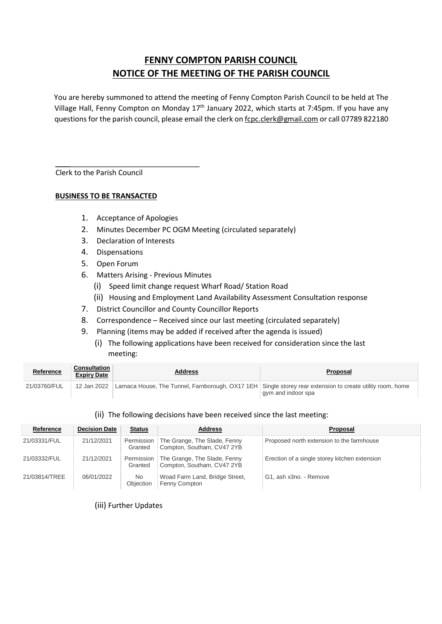# **FENNY COMPTON PARISH COUNCIL NOTICE OF THE MEETING OF THE PARISH COUNCIL**

You are hereby summoned to attend the meeting of Fenny Compton Parish Council to be held at The Village Hall, Fenny Compton on Monday 17<sup>th</sup> January 2022, which starts at 7:45pm. If you have any questions for the parish council, please email the clerk on fcpc.clerk@gmail.com or call 07789 822180

Clerk to the Parish Council

### **BUSINESS TO BE TRANSACTED**

- 1. Acceptance of Apologies
- 2. Minutes December PC OGM Meeting (circulated separately)
- 3. Declaration of Interests
- 4. Dispensations
- 5. Open Forum
- 6. Matters Arising Previous Minutes
	- (i) Speed limit change request Wharf Road/ Station Road
	- (ii) Housing and Employment Land Availability Assessment Consultation response
- 7. District Councillor and County Councillor Reports
- 8. Correspondence Received since our last meeting (circulated separately)
- 9. Planning (items may be added if received after the agenda is issued)
	- (i) The following applications have been received for consideration since the last meeting:

| <b>Reference</b> | <b>Consultation</b><br><b>Expiry Date</b> | <b>Address</b> | Proposal                                                                                                                         |
|------------------|-------------------------------------------|----------------|----------------------------------------------------------------------------------------------------------------------------------|
| 21/03760/FUL     | 12 Jan 2022                               |                | Larnaca House, The Tunnel, Farnborough, OX17 1EH Single storey rear extension to create utility room, home<br>gym and indoor spa |

#### (ii) The following decisions have been received since the last meeting:

| Reference     | <b>Decision Date</b> | <b>Status</b>         | <b>Address</b>                                                          | Proposal                                      |
|---------------|----------------------|-----------------------|-------------------------------------------------------------------------|-----------------------------------------------|
| 21/03331/FUL  | 21/12/2021           | Granted               | Permission   The Grange, The Slade, Fenny<br>Compton, Southam, CV47 2YB | Proposed north extension to the farmhouse     |
| 21/03332/FUL  | 21/12/2021           | Permission<br>Granted | The Grange, The Slade, Fenny<br>Compton, Southam, CV47 2YB              | Erection of a single storey kitchen extension |
| 21/03814/TREE | 06/01/2022           | No.<br>Obiection      | Woad Farm Land, Bridge Street,<br>Fenny Compton                         | G1, ash x3no. - Remove                        |

(iii) Further Updates